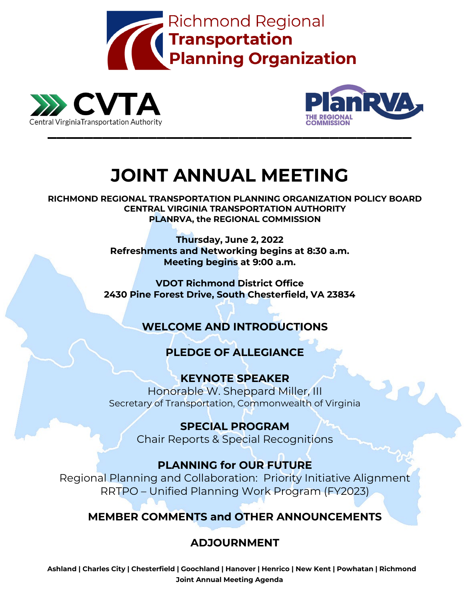





# **JOINT ANNUAL MEETING**

**RICHMOND REGIONAL TRANSPORTATION PLANNING ORGANIZATION POLICY BOARD CENTRAL VIRGINIA TRANSPORTATION AUTHORITY PLANRVA, the REGIONAL COMMISSION**

> **Thursday, June 2, 2022 Refreshments and Networking begins at 8:30 a.m. Meeting begins at 9:00 a.m.**

**VDOT Richmond District Office 2430 Pine Forest Drive, South Chesterfield, VA 23834**

## **WELCOME AND INTRODUCTIONS**

## **PLEDGE OF ALLEGIANCE**

**KEYNOTE SPEAKER** Honorable W. Sheppard Miller, III Secretary of Transportation, Commonwealth of Virginia

> **SPECIAL PROGRAM** Chair Reports & Special Recognitions

## **PLANNING for OUR FUTURE**

Regional Planning and Collaboration: Priority Initiative Alignment RRTPO – Unified Planning Work Program (FY2023)

## **MEMBER COMMENTS and OTHER ANNOUNCEMENTS**

## **ADJOURNMENT**

**Ashland | Charles City | Chesterfield | Goochland | Hanover | Henrico | New Kent | Powhatan | Richmond Joint Annual Meeting Agenda**